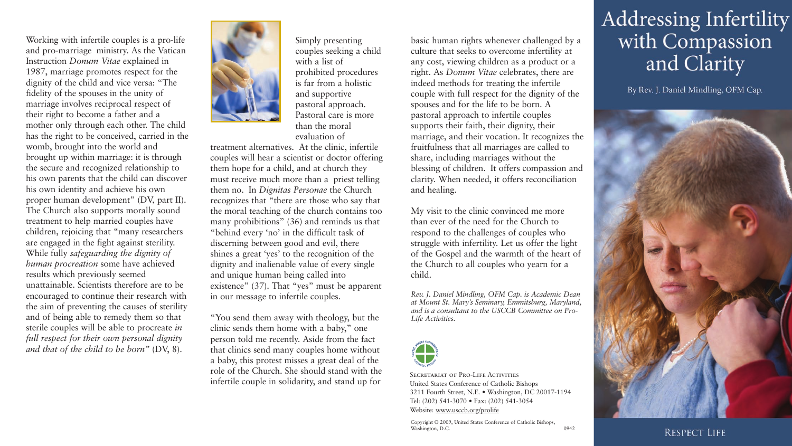Working with infertile couples is a pro-life and pro-marriage ministry. As the Vatican Instruction *Donum Vitae* explained in 1987, marriage promotes respect for the dignity of the child and vice versa: "The fidelity of the spouses in the unity of marriage involves reciprocal respect of their right to become a father and a mother only through each other. The child has the right to be conceived, carried in the womb, brought into the world and brought up within marriage: it is through the secure and recognized relationship to his own parents that the child can discover his own identity and achieve his own proper human development" (DV, part II). The Church also supports morally sound treatment to help married couples have children, rejoicing that "many researchers are engaged in the fight against sterility. While fully *safeguarding the dignity of human procreation* some have achieved results which previously seemed unattainable. Scientists therefore are to be encouraged to continue their research with the aim of preventing the causes of sterility and of being able to remedy them so that sterile couples will be able to procreate *in full respect for their own personal dignity and that of the child to be born"* (DV, 8).



Simply presenting couples seeking a child with a list of prohibited procedures is far from a holistic and supportive pastoral approach. Pastoral care is more than the moral evaluation of

treatment alternatives. At the clinic, infertile couples will hear a scientist or doctor offering them hope for a child, and at church they must receive much more than a priest telling them no. In *Dignitas Personae* the Church recognizes that "there are those who say that the moral teaching of the church contains too many prohibitions" (36) and reminds us that "behind every 'no' in the difficult task of discerning between good and evil, there shines a great 'yes' to the recognition of the dignity and inalienable value of every single and unique human being called into existence" (37). That "yes" must be apparent in our message to infertile couples.

"You send them away with theology, but the clinic sends them home with a baby," one person told me recently. Aside from the fact that clinics send many couples home without a baby, this protest misses a great deal of the role of the Church. She should stand with the infertile couple in solidarity, and stand up for

basic human rights whenever challenged by a culture that seeks to overcome infertility at any cost, viewing children as a product or a right. As *Donum Vitae* celebrates, there are indeed methods for treating the infertile couple with full respect for the dignity of the spouses and for the life to be born. A pastoral approach to infertile couples supports their faith, their dignity, their marriage, and their vocation. It recognizes the fruitfulness that all marriages are called to share, including marriages without the blessing of children. It offers compassion and clarity. When needed, it offers reconciliation and healing.

My visit to the clinic convinced me more than ever of the need for the Church to respond to the challenges of couples who struggle with infertility. Let us offer the light of the Gospel and the warmth of the heart of the Church to all couples who yearn for a child.

*Rev. J. Daniel Mindling, OFM Cap. is Academic Dean at Mount St. Mary's Seminary, Emmitsburg, Maryland, and is a consultant to the USCCB Committee on Pro-Life Activities.*



SECRETARIAT OF PRO-LIFE ACTIVITIES United States Conference of Catholic Bishops 3211 Fourth Street, N.E. • Washington, DC 20017-1194 Tel: (202) 541-3070 • Fax: (202) 541-3054 Website: www.usccb.org/prolife

Copyright © 2009, United States Conference of Catholic Bishops, Washington, D.C. 0942

## **Addressing Infertility** with Compassion and Clarity

By Rev. J. Daniel Mindling, OFM Cap.